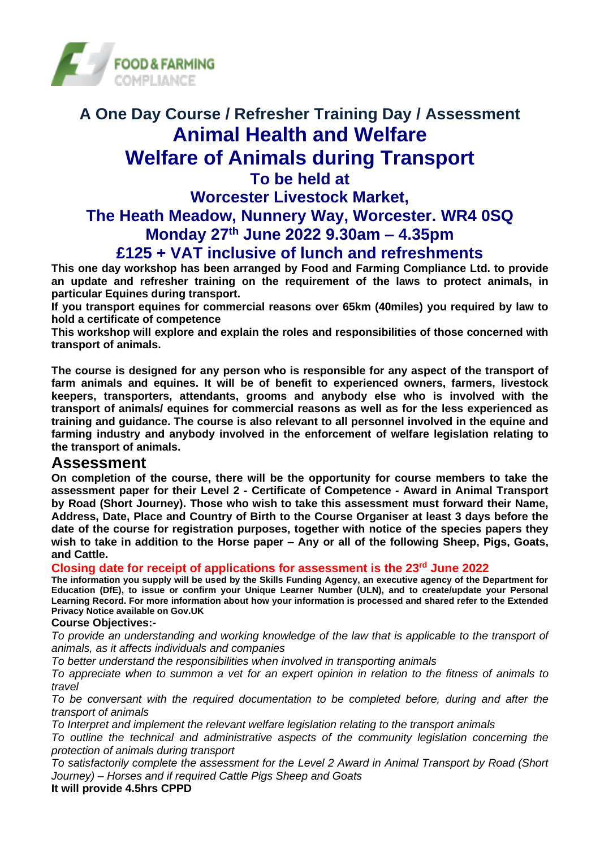

## **A One Day Course / Refresher Training Day / Assessment Animal Health and Welfare Welfare of Animals during Transport To be held at Worcester Livestock Market, The Heath Meadow, Nunnery Way, Worcester. WR4 0SQ Monday 27th June 2022 9.30am – 4.35pm**

# **£125 + VAT inclusive of lunch and refreshments**

**This one day workshop has been arranged by Food and Farming Compliance Ltd. to provide an update and refresher training on the requirement of the laws to protect animals, in particular Equines during transport.** 

**If you transport equines for commercial reasons over 65km (40miles) you required by law to hold a certificate of competence**

**This workshop will explore and explain the roles and responsibilities of those concerned with transport of animals.**

**The course is designed for any person who is responsible for any aspect of the transport of farm animals and equines. It will be of benefit to experienced owners, farmers, livestock keepers, transporters, attendants, grooms and anybody else who is involved with the transport of animals/ equines for commercial reasons as well as for the less experienced as training and guidance. The course is also relevant to all personnel involved in the equine and farming industry and anybody involved in the enforcement of welfare legislation relating to the transport of animals.**

#### **Assessment**

**On completion of the course, there will be the opportunity for course members to take the assessment paper for their Level 2 - Certificate of Competence - Award in Animal Transport by Road (Short Journey). Those who wish to take this assessment must forward their Name, Address, Date, Place and Country of Birth to the Course Organiser at least 3 days before the date of the course for registration purposes, together with notice of the species papers they wish to take in addition to the Horse paper – Any or all of the following Sheep, Pigs, Goats, and Cattle.**

**Closing date for receipt of applications for assessment is the 23rd June 2022**

**The information you supply will be used by the Skills Funding Agency, an executive agency of the Department for Education (DfE), to issue or confirm your Unique Learner Number (ULN), and to create/update your Personal Learning Record. For more information about how your information is processed and shared refer to the Extended Privacy Notice available on Gov.UK**

#### **Course Objectives:-**

*To provide an understanding and working knowledge of the law that is applicable to the transport of animals, as it affects individuals and companies*

*To better understand the responsibilities when involved in transporting animals*

*To appreciate when to summon a vet for an expert opinion in relation to the fitness of animals to travel*

*To be conversant with the required documentation to be completed before, during and after the transport of animals* 

*To Interpret and implement the relevant welfare legislation relating to the transport animals*

*To outline the technical and administrative aspects of the community legislation concerning the protection of animals during transport*

*To satisfactorily complete the assessment for the Level 2 Award in Animal Transport by Road (Short Journey) – Horses and if required Cattle Pigs Sheep and Goats* 

**It will provide 4.5hrs CPPD**